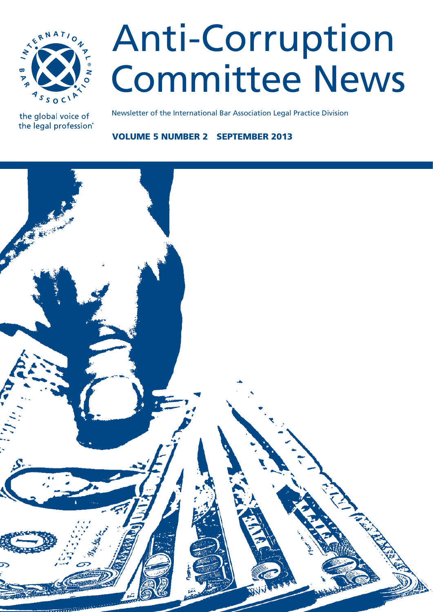

# Anti-Corruption Committee News

the global voice of the legal profession® Newsletter of the International Bar Association Legal Practice Division

Volume 5 number 2 September 2013

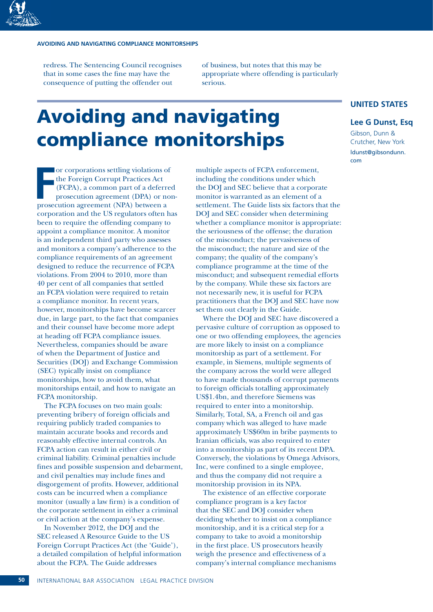redress. The Sentencing Council recognises that in some cases the fine may have the consequence of putting the offender out

of business, but notes that this may be appropriate where offending is particularly serious.

# Avoiding and navigating compliance monitorships

Fraction agreement (PPA) or non-prosecution agreement (DPA) or no<br>
prosecution agreement (DPA) or no<br>
prosecution agreement (NPA) between a or corporations settling violations of the Foreign Corrupt Practices Act (FCPA), a common part of a deferred prosecution agreement (DPA) or noncorporation and the US regulators often has been to require the offending company to appoint a compliance monitor. A monitor is an independent third party who assesses and monitors a company's adherence to the compliance requirements of an agreement designed to reduce the recurrence of FCPA violations. From 2004 to 2010, more than 40 per cent of all companies that settled an FCPA violation were required to retain a compliance monitor. In recent years, however, monitorships have become scarcer due, in large part, to the fact that companies and their counsel have become more adept at heading off FCPA compliance issues. Nevertheless, companies should be aware of when the Department of Justice and Securities (DOJ) and Exchange Commission (SEC) typically insist on compliance monitorships, how to avoid them, what monitorships entail, and how to navigate an FCPA monitorship.

The FCPA focuses on two main goals: preventing bribery of foreign officials and requiring publicly traded companies to maintain accurate books and records and reasonably effective internal controls. An FCPA action can result in either civil or criminal liability. Criminal penalties include fines and possible suspension and debarment, and civil penalties may include fines and disgorgement of profits. However, additional costs can be incurred when a compliance monitor (usually a law firm) is a condition of the corporate settlement in either a criminal or civil action at the company's expense.

In November 2012, the DOJ and the SEC released A Resource Guide to the US Foreign Corrupt Practices Act (the 'Guide'), a detailed compilation of helpful information about the FCPA. The Guide addresses

multiple aspects of FCPA enforcement, including the conditions under which the DOJ and SEC believe that a corporate monitor is warranted as an element of a settlement. The Guide lists six factors that the DOJ and SEC consider when determining whether a compliance monitor is appropriate: the seriousness of the offense; the duration of the misconduct; the pervasiveness of the misconduct; the nature and size of the company; the quality of the company's compliance programme at the time of the misconduct; and subsequent remedial efforts by the company. While these six factors are not necessarily new, it is useful for FCPA practitioners that the DOJ and SEC have now set them out clearly in the Guide.

Where the DOJ and SEC have discovered a pervasive culture of corruption as opposed to one or two offending employees, the agencies are more likely to insist on a compliance monitorship as part of a settlement. For example, in Siemens, multiple segments of the company across the world were alleged to have made thousands of corrupt payments to foreign officials totalling approximately US\$1.4bn, and therefore Siemens was required to enter into a monitorship. Similarly, Total, SA, a French oil and gas company which was alleged to have made approximately US\$60m in bribe payments to Iranian officials, was also required to enter into a monitorship as part of its recent DPA. Conversely, the violations by Omega Advisors, Inc, were confined to a single employee, and thus the company did not require a monitorship provision in its NPA.

The existence of an effective corporate compliance program is a key factor that the SEC and DOJ consider when deciding whether to insist on a compliance monitorship, and it is a critical step for a company to take to avoid a monitorship in the first place. US prosecutors heavily weigh the presence and effectiveness of a company's internal compliance mechanisms

## **UNITED STATES**

### **Lee G Dunst, Esq**

Gibson, Dunn & Crutcher, New York ldunst@gibsondunn. com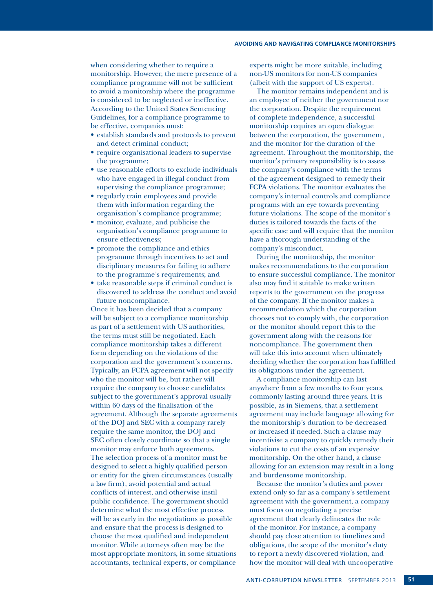when considering whether to require a monitorship. However, the mere presence of a compliance programme will not be sufficient to avoid a monitorship where the programme is considered to be neglected or ineffective. According to the United States Sentencing Guidelines, for a compliance programme to be effective, companies must:

- establish standards and protocols to prevent and detect criminal conduct;
- require organisational leaders to supervise the programme;
- use reasonable efforts to exclude individuals who have engaged in illegal conduct from supervising the compliance programme;
- regularly train employees and provide them with information regarding the organisation's compliance programme;
- monitor, evaluate, and publicise the organisation's compliance programme to ensure effectiveness;
- promote the compliance and ethics programme through incentives to act and disciplinary measures for failing to adhere to the programme's requirements; and
- take reasonable steps if criminal conduct is discovered to address the conduct and avoid future noncompliance.

Once it has been decided that a company will be subject to a compliance monitorship as part of a settlement with US authorities, the terms must still be negotiated. Each compliance monitorship takes a different form depending on the violations of the corporation and the government's concerns. Typically, an FCPA agreement will not specify who the monitor will be, but rather will require the company to choose candidates subject to the government's approval usually within 60 days of the finalisation of the agreement. Although the separate agreements of the DOJ and SEC with a company rarely require the same monitor, the DOJ and SEC often closely coordinate so that a single monitor may enforce both agreements. The selection process of a monitor must be designed to select a highly qualified person or entity for the given circumstances (usually a law firm), avoid potential and actual conflicts of interest, and otherwise instil public confidence. The government should determine what the most effective process will be as early in the negotiations as possible and ensure that the process is designed to choose the most qualified and independent monitor. While attorneys often may be the most appropriate monitors, in some situations accountants, technical experts, or compliance

experts might be more suitable, including non-US monitors for non-US companies (albeit with the support of US experts).

The monitor remains independent and is an employee of neither the government nor the corporation. Despite the requirement of complete independence, a successful monitorship requires an open dialogue between the corporation, the government, and the monitor for the duration of the agreement. Throughout the monitorship, the monitor's primary responsibility is to assess the company's compliance with the terms of the agreement designed to remedy their FCPA violations. The monitor evaluates the company's internal controls and compliance programs with an eye towards preventing future violations. The scope of the monitor's duties is tailored towards the facts of the specific case and will require that the monitor have a thorough understanding of the company's misconduct.

During the monitorship, the monitor makes recommendations to the corporation to ensure successful compliance. The monitor also may find it suitable to make written reports to the government on the progress of the company. If the monitor makes a recommendation which the corporation chooses not to comply with, the corporation or the monitor should report this to the government along with the reasons for noncompliance. The government then will take this into account when ultimately deciding whether the corporation has fulfilled its obligations under the agreement.

A compliance monitorship can last anywhere from a few months to four years, commonly lasting around three years. It is possible, as in Siemens, that a settlement agreement may include language allowing for the monitorship's duration to be decreased or increased if needed. Such a clause may incentivise a company to quickly remedy their violations to cut the costs of an expensive monitorship. On the other hand, a clause allowing for an extension may result in a long and burdensome monitorship.

Because the monitor's duties and power extend only so far as a company's settlement agreement with the government, a company must focus on negotiating a precise agreement that clearly delineates the role of the monitor. For instance, a company should pay close attention to timelines and obligations, the scope of the monitor's duty to report a newly discovered violation, and how the monitor will deal with uncooperative